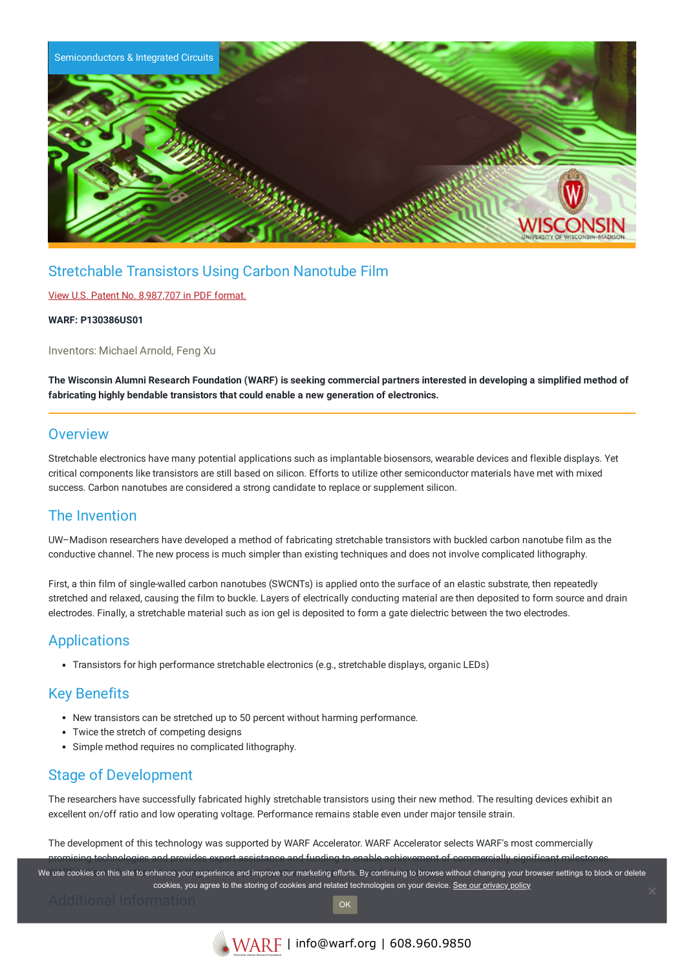

# Stretchable Transistors Using Carbon Nanotube Film

## View U.S. Patent No. [8,987,707](https://www.warf.org/wp-content/uploads/technologies/ipstatus/P130386US01.PDF) in PDF format.

#### **WARF: P130386US01**

Inventors: Michael Arnold, Feng Xu

The Wisconsin Alumni Research Foundation (WARF) is seeking commercial partners interested in developing a simplified method of **fabricating highly bendable transistors that could enable a new generation of electronics.**

## **Overview**

Stretchable electronics have many potential applications such as implantable biosensors, wearable devices and flexible displays. Yet critical components like transistors are still based on silicon. Efforts to utilize other semiconductor materials have met with mixed success. Carbon nanotubes are considered a strong candidate to replace or supplement silicon.

# The Invention

UW–Madison researchers have developed a method of fabricating stretchable transistors with buckled carbon nanotube film as the conductive channel. The new process is much simpler than existing techniques and does not involve complicated lithography.

First, a thin film of single-walled carbon nanotubes (SWCNTs) is applied onto the surface of an elastic substrate, then repeatedly stretched and relaxed, causing the film to buckle. Layers of electrically conducting material are then deposited to form source and drain electrodes. Finally, a stretchable material such as ion gel is deposited to form a gate dielectric between the two electrodes.

# **Applications**

Transistors for high performance stretchable electronics (e.g., stretchable displays, organic LEDs)

# Key Benefits

- New transistors can be stretched up to 50 percent without harming performance.
- Twice the stretch of competing designs
- Simple method requires no complicated lithography.

# Stage of Development

The researchers have successfully fabricated highly stretchable transistors using their new method. The resulting devices exhibit an excellent on/off ratio and low operating voltage. Performance remains stable even under major tensile strain.

The development of this technology was supported by WARF Accelerator. WARF Accelerator selects WARF's most commercially promising technologies and provides expert assistance and funding to enable achievement of commercially significant milestones.

We use cookies on this site to enhance your experience and improve our marketing efforts. By continuing to browse without changing your browser settings to block or delete cookies, you agree to the storing of cookies and related technologies on your device. [See our privacy policy](https://www.warf.org/privacy-policy/)